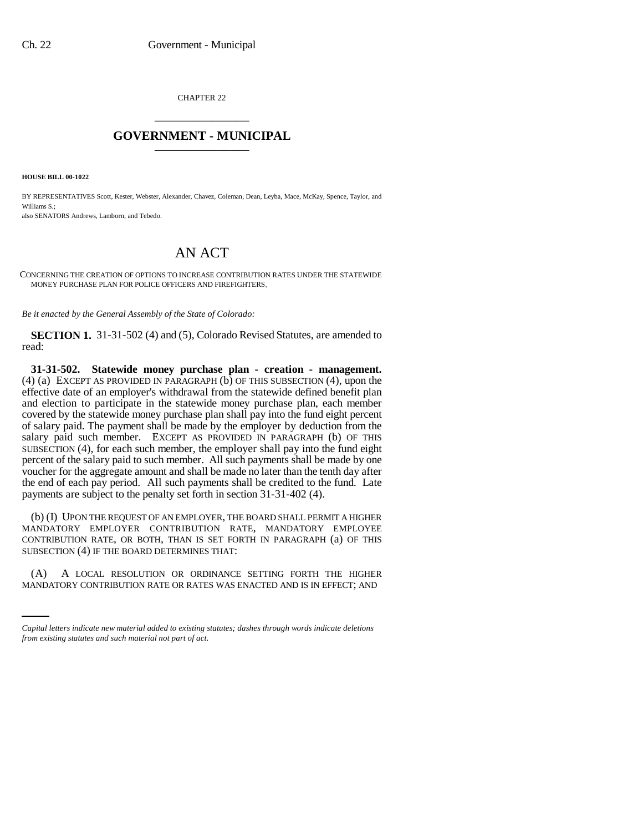CHAPTER 22 \_\_\_\_\_\_\_\_\_\_\_\_\_\_\_

## **GOVERNMENT - MUNICIPAL** \_\_\_\_\_\_\_\_\_\_\_\_\_\_\_

**HOUSE BILL 00-1022** 

BY REPRESENTATIVES Scott, Kester, Webster, Alexander, Chavez, Coleman, Dean, Leyba, Mace, McKay, Spence, Taylor, and Williams S.;

also SENATORS Andrews, Lamborn, and Tebedo.

## AN ACT

CONCERNING THE CREATION OF OPTIONS TO INCREASE CONTRIBUTION RATES UNDER THE STATEWIDE MONEY PURCHASE PLAN FOR POLICE OFFICERS AND FIREFIGHTERS.

*Be it enacted by the General Assembly of the State of Colorado:*

**SECTION 1.** 31-31-502 (4) and (5), Colorado Revised Statutes, are amended to read:

**31-31-502. Statewide money purchase plan - creation - management.** (4) (a) EXCEPT AS PROVIDED IN PARAGRAPH  $(b)$  OF THIS SUBSECTION (4), upon the effective date of an employer's withdrawal from the statewide defined benefit plan and election to participate in the statewide money purchase plan, each member covered by the statewide money purchase plan shall pay into the fund eight percent of salary paid. The payment shall be made by the employer by deduction from the salary paid such member. EXCEPT AS PROVIDED IN PARAGRAPH (b) OF THIS SUBSECTION (4), for each such member, the employer shall pay into the fund eight percent of the salary paid to such member. All such payments shall be made by one voucher for the aggregate amount and shall be made no later than the tenth day after the end of each pay period. All such payments shall be credited to the fund. Late payments are subject to the penalty set forth in section 31-31-402 (4).

(b) (I) UPON THE REQUEST OF AN EMPLOYER, THE BOARD SHALL PERMIT A HIGHER MANDATORY EMPLOYER CONTRIBUTION RATE, MANDATORY EMPLOYEE CONTRIBUTION RATE, OR BOTH, THAN IS SET FORTH IN PARAGRAPH (a) OF THIS SUBSECTION (4) IF THE BOARD DETERMINES THAT:

(A) A LOCAL RESOLUTION OR ORDINANCE SETTING FORTH THE HIGHER MANDATORY CONTRIBUTION RATE OR RATES WAS ENACTED AND IS IN EFFECT; AND

*Capital letters indicate new material added to existing statutes; dashes through words indicate deletions from existing statutes and such material not part of act.*